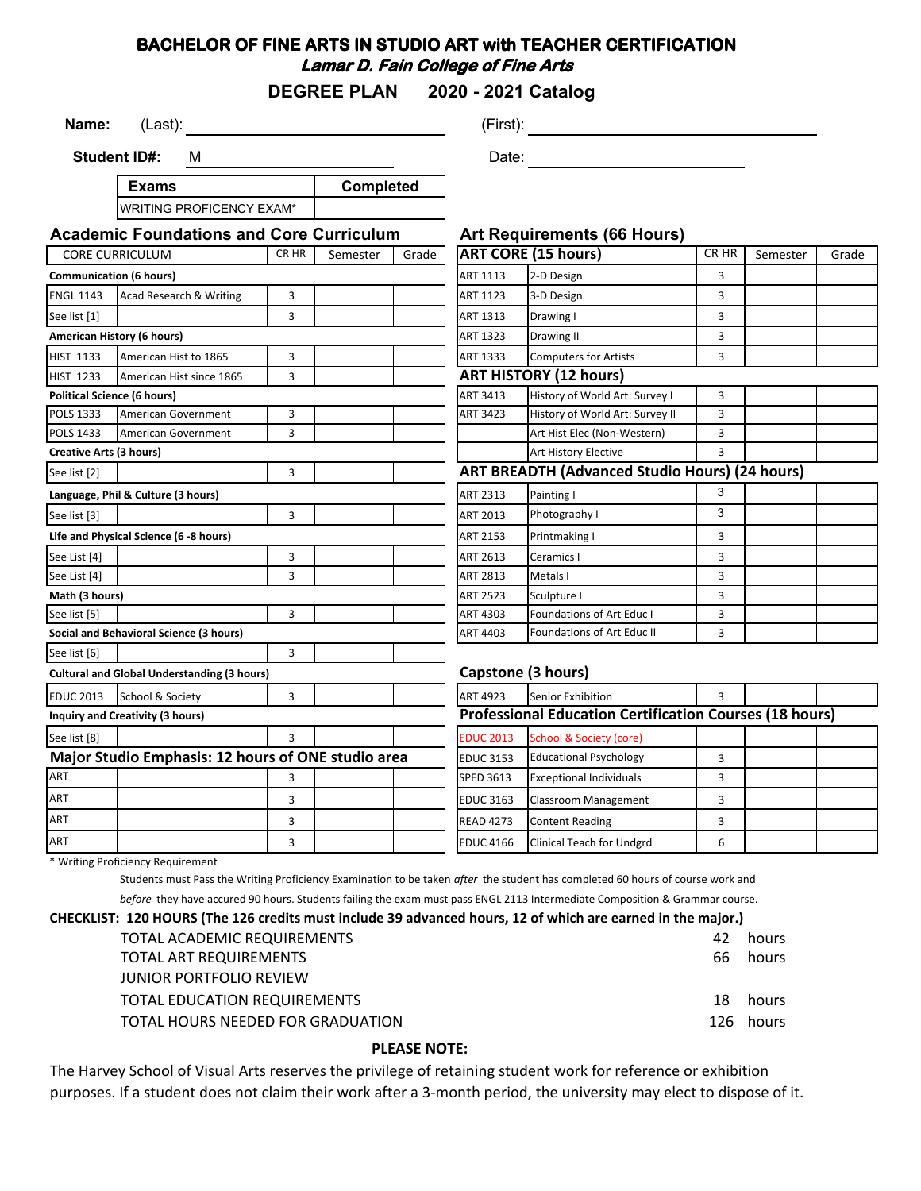## **BACHELOR OF FINE ARTS IN STUDIO ART with TEACHER CERTIFICATION Lamar D. Fain College of Fine Arts**

**DEGREE PLAN 2020 - 2021 Catalog**

**Name:** (Last): (Example 1991) (First): (First): (First): (First): 1991) (First): 1991) (First): 1991) (First): 1991) (First): 1991) (First): 1991) (First): 1991) (First): 1991) (First): 1991) (First): 1991) (First): 1991)

**Student ID#:** M

**Exams** WOLTIMO PROFICENCY EVAM\* **Completed** Date: **Date: Date: Date: Date: Date: Date: Date: Date: Date: Date: Date: Date: Date: Date: Date: Date: Date: Date: Date: Date: Date: Date: Date: Date: Date: Date: Date:**

| <b>WRITING PROFICENCY EXAM</b>                     |              |          |                    |                                                                |                                    |                                                                                                   |          |                                                       |
|----------------------------------------------------|--------------|----------|--------------------|----------------------------------------------------------------|------------------------------------|---------------------------------------------------------------------------------------------------|----------|-------------------------------------------------------|
|                                                    |              |          |                    |                                                                |                                    |                                                                                                   |          |                                                       |
| <b>CORE CURRICULUM</b>                             | CR HR        | Semester | Grade              |                                                                |                                    | CR HR                                                                                             | Semester | Grade                                                 |
| <b>Communication (6 hours)</b>                     |              |          |                    | ART 1113                                                       | 2-D Design                         | 3                                                                                                 |          |                                                       |
| Acad Research & Writing                            | 3            |          |                    | <b>ART 1123</b>                                                | 3-D Design                         | 3                                                                                                 |          |                                                       |
|                                                    | 3            |          |                    | ART 1313                                                       | Drawing I                          | 3                                                                                                 |          |                                                       |
| American History (6 hours)                         |              |          |                    | ART 1323                                                       | Drawing II                         | 3                                                                                                 |          |                                                       |
| American Hist to 1865                              | 3            |          |                    | ART 1333                                                       | <b>Computers for Artists</b>       | 3                                                                                                 |          |                                                       |
| American Hist since 1865                           | 3            |          |                    |                                                                |                                    |                                                                                                   |          |                                                       |
| <b>Political Science (6 hours)</b>                 |              |          |                    | <b>ART 3413</b>                                                | History of World Art: Survey I     | 3                                                                                                 |          |                                                       |
| American Government                                | 3            |          |                    | ART 3423                                                       | History of World Art: Survey II    | 3                                                                                                 |          |                                                       |
| American Government                                | 3            |          |                    |                                                                | Art Hist Elec (Non-Western)        | 3                                                                                                 |          |                                                       |
| <b>Creative Arts (3 hours)</b>                     |              |          |                    |                                                                | Art History Elective               | 3                                                                                                 |          |                                                       |
|                                                    | 3            |          |                    |                                                                |                                    |                                                                                                   |          |                                                       |
| Language, Phil & Culture (3 hours)                 |              |          |                    | <b>ART 2313</b>                                                | Painting I                         | 3                                                                                                 |          |                                                       |
|                                                    | 3            |          |                    | ART 2013                                                       | Photography I                      | 3                                                                                                 |          |                                                       |
| Life and Physical Science (6 -8 hours)             |              |          |                    | ART 2153                                                       | Printmaking I                      | 3                                                                                                 |          |                                                       |
|                                                    | 3            |          |                    | ART 2613                                                       | Ceramics I                         | 3                                                                                                 |          |                                                       |
|                                                    | 3            |          |                    | <b>ART 2813</b>                                                | Metals I                           | 3                                                                                                 |          |                                                       |
| Math (3 hours)                                     |              |          |                    | <b>ART 2523</b>                                                | Sculpture I                        | 3                                                                                                 |          |                                                       |
|                                                    | 3            |          |                    | ART 4303                                                       | Foundations of Art Educ I          | 3                                                                                                 |          |                                                       |
| Social and Behavioral Science (3 hours)            |              |          |                    | ART 4403                                                       | <b>Foundations of Art Educ II</b>  | 3                                                                                                 |          |                                                       |
|                                                    | 3            |          |                    |                                                                |                                    |                                                                                                   |          |                                                       |
| <b>Cultural and Global Understanding (3 hours)</b> |              |          | Capstone (3 hours) |                                                                |                                    |                                                                                                   |          |                                                       |
| School & Society                                   | 3            |          |                    | <b>ART 4923</b>                                                | Senior Exhibition                  | 3                                                                                                 |          |                                                       |
| <b>Inquiry and Creativity (3 hours)</b>            |              |          |                    | <b>Professional Education Certification Courses (18 hours)</b> |                                    |                                                                                                   |          |                                                       |
|                                                    | $\mathbf{R}$ |          |                    | <b>EDUC 2013</b>                                               | <b>School &amp; Society (core)</b> |                                                                                                   |          |                                                       |
| Major Studio Emphasis: 12 hours of ONE studio area |              |          |                    | <b>EDUC 3153</b>                                               | <b>Educational Psychology</b>      | 3                                                                                                 |          |                                                       |
|                                                    | 3            |          |                    | <b>SPED 3613</b>                                               | <b>Exceptional Individuals</b>     | 3                                                                                                 |          |                                                       |
|                                                    | 3            |          |                    | <b>EDUC 3163</b>                                               | Classroom Management               | 3                                                                                                 |          |                                                       |
|                                                    | 3            |          |                    | <b>READ 4273</b>                                               | <b>Content Reading</b>             | 3                                                                                                 |          |                                                       |
|                                                    |              |          |                    | <b>Academic Foundations and Core Curriculum</b>                |                                    | <b>Art Requirements (66 Hours)</b><br><b>ART CORE (15 hours)</b><br><b>ART HISTORY (12 hours)</b> |          | <b>ART BREADTH (Advanced Studio Hours) (24 hours)</b> |

\* Writing Proficiency Requirement

Students must Pass the Writing Proficiency Examination to be taken *after* the student has completed 60 hours of course work and

*before* they have accured 90 hours. Students failing the exam must pass ENGL 2113 Intermediate Composition & Grammar course.

#### **CHECKLIST: 120 HOURS (The 126 credits must include 39 advanced hours, 12 of which are earned in the major.)**

ART **ART EDUC 4166** Clinical Teach for Undgrd 6 Clinical Teach for Undgrd 6 Clinical Teach for Undgrd 6

| TOTAL ACADEMIC REQUIREMENTS         | 42. | hours     |
|-------------------------------------|-----|-----------|
| TOTAL ART REQUIREMENTS              | 66  | hours     |
| <b>JUNIOR PORTFOLIO REVIEW</b>      |     |           |
| <b>TOTAL EDUCATION REQUIREMENTS</b> |     | 18 hours  |
| TOTAL HOURS NEEDED FOR GRADUATION   |     | 126 hours |
|                                     |     |           |

#### **PLEASE NOTE:**

The Harvey School of Visual Arts reserves the privilege of retaining student work for reference or exhibition purposes. If a student does not claim their work after a 3-month period, the university may elect to dispose of it.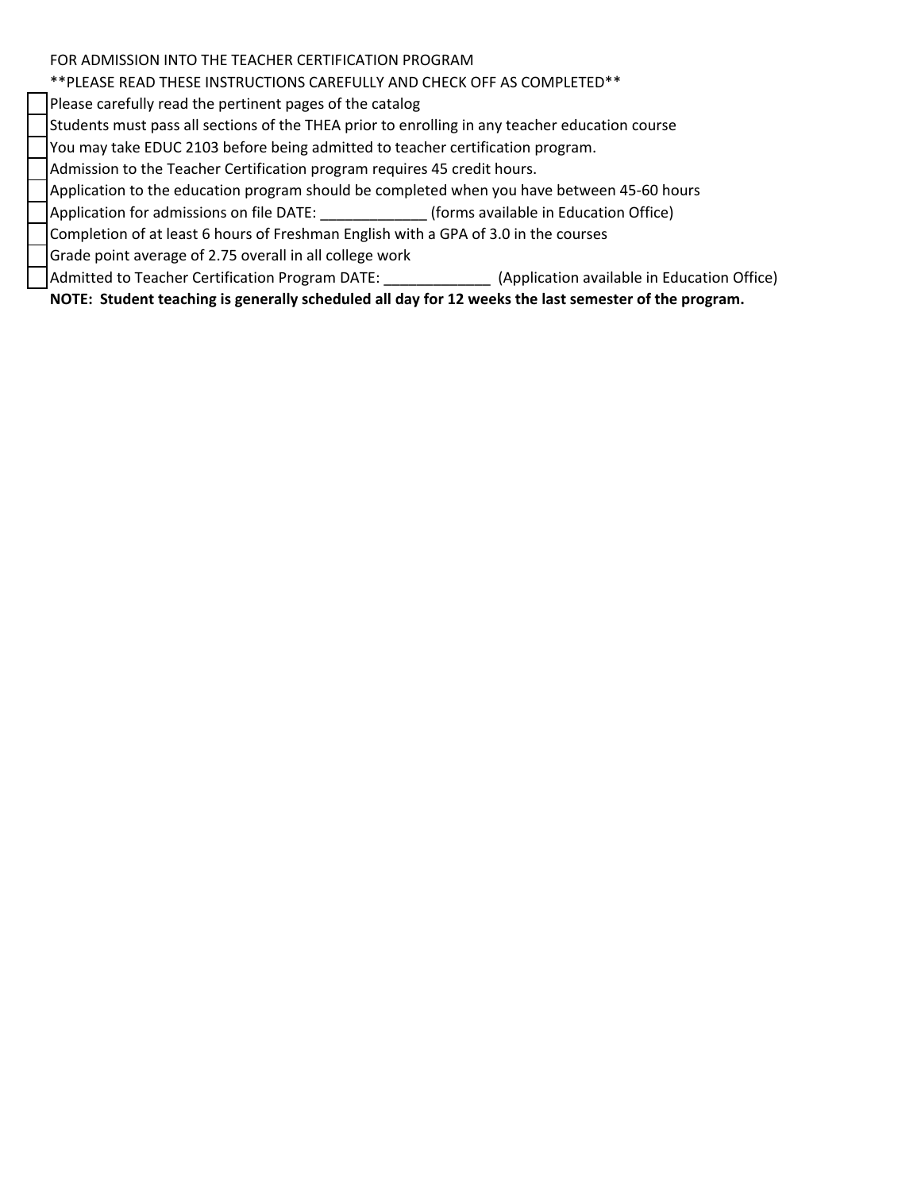### FOR ADMISSION INTO THE TEACHER CERTIFICATION PROGRAM

# \*\*PLEASE READ THESE INSTRUCTIONS CAREFULLY AND CHECK OFF AS COMPLETED\*\*

Please carefully read the pertinent pages of the catalog

Students must pass all sections of the THEA prior to enrolling in any teacher education course

You may take EDUC 2103 before being admitted to teacher certification program.

Admission to the Teacher Certification program requires 45 credit hours.

Application to the education program should be completed when you have between 45-60 hours

Application for admissions on file DATE: \_\_\_\_\_\_\_\_\_\_\_\_\_ (forms available in Education Office)

Completion of at least 6 hours of Freshman English with a GPA of 3.0 in the courses

Grade point average of 2.75 overall in all college work

Admitted to Teacher Certification Program DATE: \_\_\_\_\_\_\_\_\_\_\_\_\_ (Application available in Education Office)

**NOTE: Student teaching is generally scheduled all day for 12 weeks the last semester of the program.**